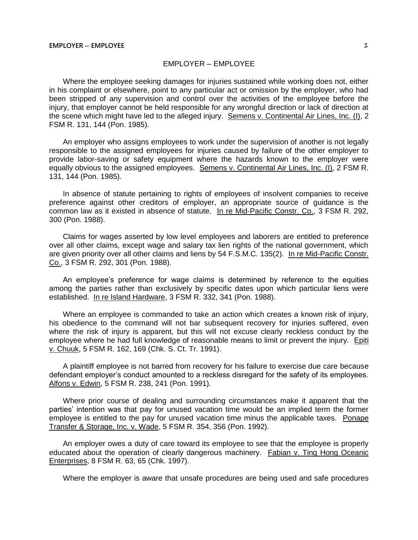Where the employee seeking damages for injuries sustained while working does not, either in his complaint or elsewhere, point to any particular act or omission by the employer, who had been stripped of any supervision and control over the activities of the employee before the injury, that employer cannot be held responsible for any wrongful direction or lack of direction at the scene which might have led to the alleged injury. Semens v. Continental Air Lines, Inc. (I), 2 FSM R. 131, 144 (Pon. 1985).

An employer who assigns employees to work under the supervision of another is not legally responsible to the assigned employees for injuries caused by failure of the other employer to provide labor-saving or safety equipment where the hazards known to the employer were equally obvious to the assigned employees. Semens v. Continental Air Lines, Inc. (I), 2 FSM R. 131, 144 (Pon. 1985).

In absence of statute pertaining to rights of employees of insolvent companies to receive preference against other creditors of employer, an appropriate source of guidance is the common law as it existed in absence of statute. In re Mid-Pacific Constr. Co., 3 FSM R. 292, 300 (Pon. 1988).

Claims for wages asserted by low level employees and laborers are entitled to preference over all other claims, except wage and salary tax lien rights of the national government, which are given priority over all other claims and liens by 54 F.S.M.C. 135(2). In re Mid-Pacific Constr. Co., 3 FSM R. 292, 301 (Pon. 1988).

An employee's preference for wage claims is determined by reference to the equities among the parties rather than exclusively by specific dates upon which particular liens were established. In re Island Hardware, 3 FSM R. 332, 341 (Pon. 1988).

Where an employee is commanded to take an action which creates a known risk of injury, his obedience to the command will not bar subsequent recovery for injuries suffered, even where the risk of injury is apparent, but this will not excuse clearly reckless conduct by the employee where he had full knowledge of reasonable means to limit or prevent the injury. Epiti v. Chuuk, 5 FSM R. 162, 169 (Chk. S. Ct. Tr. 1991).

A plaintiff employee is not barred from recovery for his failure to exercise due care because defendant employer's conduct amounted to a reckless disregard for the safety of its employees. Alfons v. Edwin, 5 FSM R. 238, 241 (Pon. 1991).

Where prior course of dealing and surrounding circumstances make it apparent that the parties' intention was that pay for unused vacation time would be an implied term the former employee is entitled to the pay for unused vacation time minus the applicable taxes. Ponape Transfer & Storage, Inc. v. Wade, 5 FSM R. 354, 356 (Pon. 1992).

An employer owes a duty of care toward its employee to see that the employee is properly educated about the operation of clearly dangerous machinery. Fabian v. Ting Hong Oceanic Enterprises, 8 FSM R. 63, 65 (Chk. 1997).

Where the employer is aware that unsafe procedures are being used and safe procedures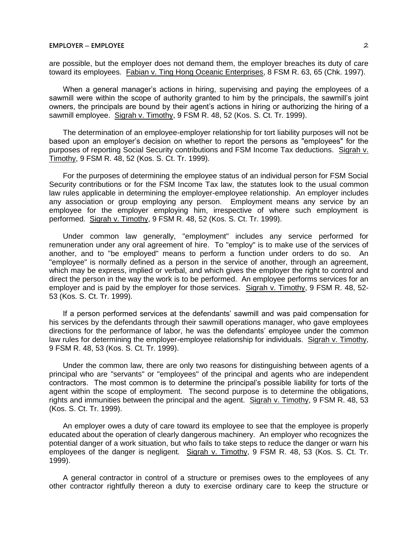are possible, but the employer does not demand them, the employer breaches its duty of care toward its employees. Fabian v. Ting Hong Oceanic Enterprises, 8 FSM R. 63, 65 (Chk. 1997).

When a general manager's actions in hiring, supervising and paying the employees of a sawmill were within the scope of authority granted to him by the principals, the sawmill's joint owners, the principals are bound by their agent's actions in hiring or authorizing the hiring of a sawmill employee. Sigrah v. Timothy, 9 FSM R. 48, 52 (Kos. S. Ct. Tr. 1999).

The determination of an employee-employer relationship for tort liability purposes will not be based upon an employer's decision on whether to report the persons as "employees" for the purposes of reporting Social Security contributions and FSM Income Tax deductions. Sigrah v. Timothy, 9 FSM R. 48, 52 (Kos. S. Ct. Tr. 1999).

For the purposes of determining the employee status of an individual person for FSM Social Security contributions or for the FSM Income Tax law, the statutes look to the usual common law rules applicable in determining the employer-employee relationship. An employer includes any association or group employing any person. Employment means any service by an employee for the employer employing him, irrespective of where such employment is performed. Sigrah v. Timothy, 9 FSM R. 48, 52 (Kos. S. Ct. Tr. 1999).

Under common law generally, "employment" includes any service performed for remuneration under any oral agreement of hire. To "employ" is to make use of the services of another, and to "be employed" means to perform a function under orders to do so. An "employee" is normally defined as a person in the service of another, through an agreement, which may be express, implied or verbal, and which gives the employer the right to control and direct the person in the way the work is to be performed. An employee performs services for an employer and is paid by the employer for those services. Sigrah v. Timothy, 9 FSM R. 48, 52- 53 (Kos. S. Ct. Tr. 1999).

If a person performed services at the defendants' sawmill and was paid compensation for his services by the defendants through their sawmill operations manager, who gave employees directions for the performance of labor, he was the defendants' employee under the common law rules for determining the employer-employee relationship for individuals. Sigrah v. Timothy, 9 FSM R. 48, 53 (Kos. S. Ct. Tr. 1999).

Under the common law, there are only two reasons for distinguishing between agents of a principal who are "servants" or "employees" of the principal and agents who are independent contractors. The most common is to determine the principal's possible liability for torts of the agent within the scope of employment. The second purpose is to determine the obligations, rights and immunities between the principal and the agent. Sigrah v. Timothy, 9 FSM R. 48, 53 (Kos. S. Ct. Tr. 1999).

An employer owes a duty of care toward its employee to see that the employee is properly educated about the operation of clearly dangerous machinery. An employer who recognizes the potential danger of a work situation, but who fails to take steps to reduce the danger or warn his employees of the danger is negligent. Sigrah v. Timothy, 9 FSM R. 48, 53 (Kos. S. Ct. Tr. 1999).

A general contractor in control of a structure or premises owes to the employees of any other contractor rightfully thereon a duty to exercise ordinary care to keep the structure or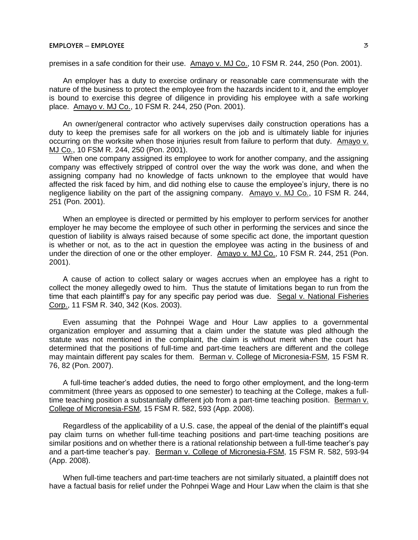premises in a safe condition for their use. Amayo v. MJ Co., 10 FSM R. 244, 250 (Pon. 2001).

An employer has a duty to exercise ordinary or reasonable care commensurate with the nature of the business to protect the employee from the hazards incident to it, and the employer is bound to exercise this degree of diligence in providing his employee with a safe working place. Amayo v. MJ Co., 10 FSM R. 244, 250 (Pon. 2001).

An owner/general contractor who actively supervises daily construction operations has a duty to keep the premises safe for all workers on the job and is ultimately liable for injuries occurring on the worksite when those injuries result from failure to perform that duty. Amayo v. MJ Co., 10 FSM R. 244, 250 (Pon. 2001).

When one company assigned its employee to work for another company, and the assigning company was effectively stripped of control over the way the work was done, and when the assigning company had no knowledge of facts unknown to the employee that would have affected the risk faced by him, and did nothing else to cause the employee's injury, there is no negligence liability on the part of the assigning company. Amayo v. MJ Co., 10 FSM R. 244, 251 (Pon. 2001).

When an employee is directed or permitted by his employer to perform services for another employer he may become the employee of such other in performing the services and since the question of liability is always raised because of some specific act done, the important question is whether or not, as to the act in question the employee was acting in the business of and under the direction of one or the other employer. Amayo v. MJ Co., 10 FSM R. 244, 251 (Pon. 2001).

A cause of action to collect salary or wages accrues when an employee has a right to collect the money allegedly owed to him. Thus the statute of limitations began to run from the time that each plaintiff's pay for any specific pay period was due. Segal v. National Fisheries Corp., 11 FSM R. 340, 342 (Kos. 2003).

Even assuming that the Pohnpei Wage and Hour Law applies to a governmental organization employer and assuming that a claim under the statute was pled although the statute was not mentioned in the complaint, the claim is without merit when the court has determined that the positions of full-time and part-time teachers are different and the college may maintain different pay scales for them. Berman v. College of Micronesia-FSM, 15 FSM R. 76, 82 (Pon. 2007).

A full-time teacher's added duties, the need to forgo other employment, and the long-term commitment (three years as opposed to one semester) to teaching at the College, makes a fulltime teaching position a substantially different job from a part-time teaching position. Berman v. College of Micronesia-FSM, 15 FSM R. 582, 593 (App. 2008).

Regardless of the applicability of a U.S. case, the appeal of the denial of the plaintiff's equal pay claim turns on whether full-time teaching positions and part-time teaching positions are similar positions and on whether there is a rational relationship between a full-time teacher's pay and a part-time teacher's pay. Berman v. College of Micronesia-FSM, 15 FSM R. 582, 593-94 (App. 2008).

When full-time teachers and part-time teachers are not similarly situated, a plaintiff does not have a factual basis for relief under the Pohnpei Wage and Hour Law when the claim is that she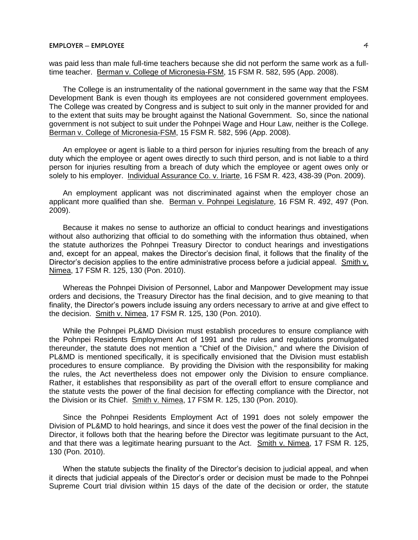was paid less than male full-time teachers because she did not perform the same work as a fulltime teacher. Berman v. College of Micronesia-FSM, 15 FSM R. 582, 595 (App. 2008).

The College is an instrumentality of the national government in the same way that the FSM Development Bank is even though its employees are not considered government employees. The College was created by Congress and is subject to suit only in the manner provided for and to the extent that suits may be brought against the National Government. So, since the national government is not subject to suit under the Pohnpei Wage and Hour Law, neither is the College. Berman v. College of Micronesia-FSM, 15 FSM R. 582, 596 (App. 2008).

An employee or agent is liable to a third person for injuries resulting from the breach of any duty which the employee or agent owes directly to such third person, and is not liable to a third person for injuries resulting from a breach of duty which the employee or agent owes only or solely to his employer. Individual Assurance Co. v. Iriarte, 16 FSM R. 423, 438-39 (Pon. 2009).

An employment applicant was not discriminated against when the employer chose an applicant more qualified than she. Berman v. Pohnpei Legislature, 16 FSM R. 492, 497 (Pon. 2009).

Because it makes no sense to authorize an official to conduct hearings and investigations without also authorizing that official to do something with the information thus obtained, when the statute authorizes the Pohnpei Treasury Director to conduct hearings and investigations and, except for an appeal, makes the Director's decision final, it follows that the finality of the Director's decision applies to the entire administrative process before a judicial appeal. Smith v. Nimea, 17 FSM R. 125, 130 (Pon. 2010).

Whereas the Pohnpei Division of Personnel, Labor and Manpower Development may issue orders and decisions, the Treasury Director has the final decision, and to give meaning to that finality, the Director's powers include issuing any orders necessary to arrive at and give effect to the decision. Smith v. Nimea, 17 FSM R. 125, 130 (Pon. 2010).

While the Pohnpei PL&MD Division must establish procedures to ensure compliance with the Pohnpei Residents Employment Act of 1991 and the rules and regulations promulgated thereunder, the statute does not mention a "Chief of the Division," and where the Division of PL&MD is mentioned specifically, it is specifically envisioned that the Division must establish procedures to ensure compliance. By providing the Division with the responsibility for making the rules, the Act nevertheless does not empower only the Division to ensure compliance. Rather, it establishes that responsibility as part of the overall effort to ensure compliance and the statute vests the power of the final decision for effecting compliance with the Director, not the Division or its Chief. Smith v. Nimea, 17 FSM R. 125, 130 (Pon. 2010).

Since the Pohnpei Residents Employment Act of 1991 does not solely empower the Division of PL&MD to hold hearings, and since it does vest the power of the final decision in the Director, it follows both that the hearing before the Director was legitimate pursuant to the Act, and that there was a legitimate hearing pursuant to the Act. Smith v. Nimea, 17 FSM R. 125, 130 (Pon. 2010).

When the statute subjects the finality of the Director's decision to judicial appeal, and when it directs that judicial appeals of the Director's order or decision must be made to the Pohnpei Supreme Court trial division within 15 days of the date of the decision or order, the statute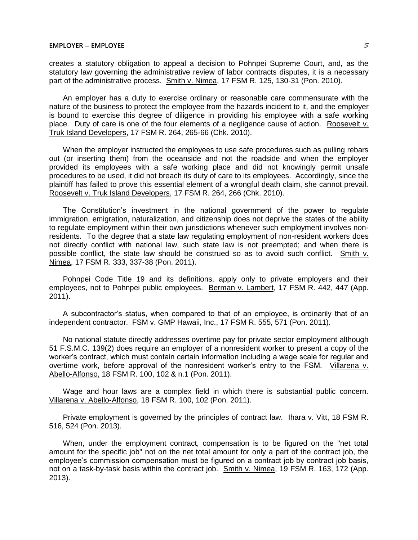creates a statutory obligation to appeal a decision to Pohnpei Supreme Court, and, as the statutory law governing the administrative review of labor contracts disputes, it is a necessary part of the administrative process. Smith v. Nimea, 17 FSM R. 125, 130-31 (Pon. 2010).

An employer has a duty to exercise ordinary or reasonable care commensurate with the nature of the business to protect the employee from the hazards incident to it, and the employer is bound to exercise this degree of diligence in providing his employee with a safe working place. Duty of care is one of the four elements of a negligence cause of action. Roosevelt v. Truk Island Developers, 17 FSM R. 264, 265-66 (Chk. 2010).

When the employer instructed the employees to use safe procedures such as pulling rebars out (or inserting them) from the oceanside and not the roadside and when the employer provided its employees with a safe working place and did not knowingly permit unsafe procedures to be used, it did not breach its duty of care to its employees. Accordingly, since the plaintiff has failed to prove this essential element of a wrongful death claim, she cannot prevail. Roosevelt v. Truk Island Developers, 17 FSM R. 264, 266 (Chk. 2010).

The Constitution's investment in the national government of the power to regulate immigration, emigration, naturalization, and citizenship does not deprive the states of the ability to regulate employment within their own jurisdictions whenever such employment involves nonresidents. To the degree that a state law regulating employment of non-resident workers does not directly conflict with national law, such state law is not preempted; and when there is possible conflict, the state law should be construed so as to avoid such conflict. Smith v. Nimea, 17 FSM R. 333, 337-38 (Pon. 2011).

Pohnpei Code Title 19 and its definitions, apply only to private employers and their employees, not to Pohnpei public employees. Berman v. Lambert, 17 FSM R. 442, 447 (App. 2011).

A subcontractor's status, when compared to that of an employee, is ordinarily that of an independent contractor. FSM v. GMP Hawaii, Inc., 17 FSM R. 555, 571 (Pon. 2011).

No national statute directly addresses overtime pay for private sector employment although 51 F.S.M.C. 139(2) does require an employer of a nonresident worker to present a copy of the worker's contract, which must contain certain information including a wage scale for regular and overtime work, before approval of the nonresident worker's entry to the FSM. Villarena v. Abello-Alfonso, 18 FSM R. 100, 102 & n.1 (Pon. 2011).

Wage and hour laws are a complex field in which there is substantial public concern. Villarena v. Abello-Alfonso, 18 FSM R. 100, 102 (Pon. 2011).

Private employment is governed by the principles of contract law. Ihara v. Vitt, 18 FSM R. 516, 524 (Pon. 2013).

When, under the employment contract, compensation is to be figured on the "net total amount for the specific job" not on the net total amount for only a part of the contract job, the employee's commission compensation must be figured on a contract job by contract job basis, not on a task-by-task basis within the contract job. Smith v. Nimea, 19 FSM R. 163, 172 (App. 2013).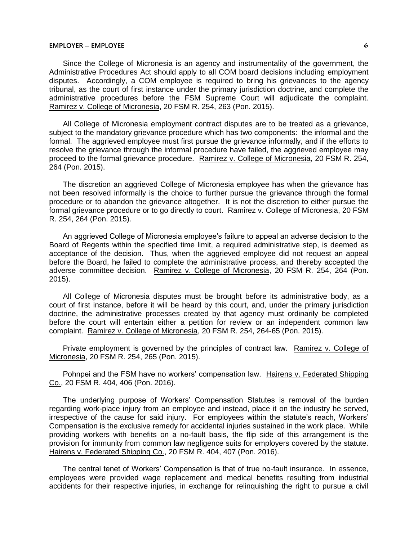Since the College of Micronesia is an agency and instrumentality of the government, the Administrative Procedures Act should apply to all COM board decisions including employment disputes. Accordingly, a COM employee is required to bring his grievances to the agency tribunal, as the court of first instance under the primary jurisdiction doctrine, and complete the administrative procedures before the FSM Supreme Court will adjudicate the complaint. Ramirez v. College of Micronesia, 20 FSM R. 254, 263 (Pon. 2015).

All College of Micronesia employment contract disputes are to be treated as a grievance, subject to the mandatory grievance procedure which has two components: the informal and the formal. The aggrieved employee must first pursue the grievance informally, and if the efforts to resolve the grievance through the informal procedure have failed, the aggrieved employee may proceed to the formal grievance procedure. Ramirez v. College of Micronesia, 20 FSM R. 254, 264 (Pon. 2015).

The discretion an aggrieved College of Micronesia employee has when the grievance has not been resolved informally is the choice to further pursue the grievance through the formal procedure or to abandon the grievance altogether. It is not the discretion to either pursue the formal grievance procedure or to go directly to court. Ramirez v. College of Micronesia, 20 FSM R. 254, 264 (Pon. 2015).

An aggrieved College of Micronesia employee's failure to appeal an adverse decision to the Board of Regents within the specified time limit, a required administrative step, is deemed as acceptance of the decision. Thus, when the aggrieved employee did not request an appeal before the Board, he failed to complete the administrative process, and thereby accepted the adverse committee decision. Ramirez v. College of Micronesia, 20 FSM R. 254, 264 (Pon. 2015).

All College of Micronesia disputes must be brought before its administrative body, as a court of first instance, before it will be heard by this court, and, under the primary jurisdiction doctrine, the administrative processes created by that agency must ordinarily be completed before the court will entertain either a petition for review or an independent common law complaint. Ramirez v. College of Micronesia, 20 FSM R. 254, 264-65 (Pon. 2015).

Private employment is governed by the principles of contract law. Ramirez v. College of Micronesia, 20 FSM R. 254, 265 (Pon. 2015).

Pohnpei and the FSM have no workers' compensation law. Hairens v. Federated Shipping Co., 20 FSM R. 404, 406 (Pon. 2016).

The underlying purpose of Workers' Compensation Statutes is removal of the burden regarding work-place injury from an employee and instead, place it on the industry he served, irrespective of the cause for said injury. For employees within the statute's reach, Workers' Compensation is the exclusive remedy for accidental injuries sustained in the work place. While providing workers with benefits on a no-fault basis, the flip side of this arrangement is the provision for immunity from common law negligence suits for employers covered by the statute. Hairens v. Federated Shipping Co., 20 FSM R. 404, 407 (Pon. 2016).

The central tenet of Workers' Compensation is that of true no-fault insurance. In essence, employees were provided wage replacement and medical benefits resulting from industrial accidents for their respective injuries, in exchange for relinquishing the right to pursue a civil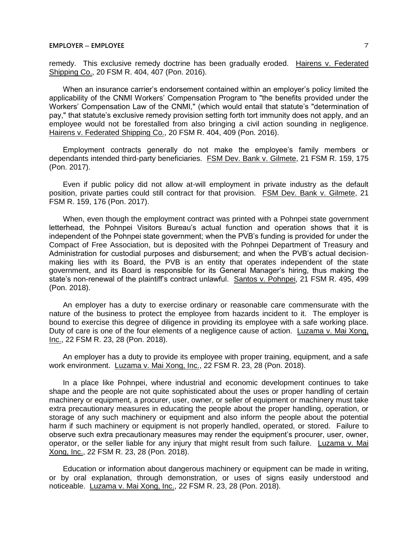remedy. This exclusive remedy doctrine has been gradually eroded. Hairens v. Federated Shipping Co., 20 FSM R. 404, 407 (Pon. 2016).

When an insurance carrier's endorsement contained within an employer's policy limited the applicability of the CNMI Workers' Compensation Program to "the benefits provided under the Workers' Compensation Law of the CNMI," (which would entail that statute's "determination of pay," that statute's exclusive remedy provision setting forth tort immunity does not apply, and an employee would not be forestalled from also bringing a civil action sounding in negligence. Hairens v. Federated Shipping Co., 20 FSM R. 404, 409 (Pon. 2016).

Employment contracts generally do not make the employee's family members or dependants intended third-party beneficiaries. FSM Dev. Bank v. Gilmete, 21 FSM R. 159, 175 (Pon. 2017).

Even if public policy did not allow at-will employment in private industry as the default position, private parties could still contract for that provision. FSM Dev. Bank v. Gilmete, 21 FSM R. 159, 176 (Pon. 2017).

When, even though the employment contract was printed with a Pohnpei state government letterhead, the Pohnpei Visitors Bureau's actual function and operation shows that it is independent of the Pohnpei state government; when the PVB's funding is provided for under the Compact of Free Association, but is deposited with the Pohnpei Department of Treasury and Administration for custodial purposes and disbursement; and when the PVB's actual decisionmaking lies with its Board, the PVB is an entity that operates independent of the state government, and its Board is responsible for its General Manager's hiring, thus making the state's non-renewal of the plaintiff's contract unlawful. Santos v. Pohnpei, 21 FSM R. 495, 499 (Pon. 2018).

An employer has a duty to exercise ordinary or reasonable care commensurate with the nature of the business to protect the employee from hazards incident to it. The employer is bound to exercise this degree of diligence in providing its employee with a safe working place. Duty of care is one of the four elements of a negligence cause of action. Luzama v. Mai Xong, Inc., 22 FSM R. 23, 28 (Pon. 2018).

An employer has a duty to provide its employee with proper training, equipment, and a safe work environment. Luzama v. Mai Xong, Inc., 22 FSM R. 23, 28 (Pon. 2018).

In a place like Pohnpei, where industrial and economic development continues to take shape and the people are not quite sophisticated about the uses or proper handling of certain machinery or equipment, a procurer, user, owner, or seller of equipment or machinery must take extra precautionary measures in educating the people about the proper handling, operation, or storage of any such machinery or equipment and also inform the people about the potential harm if such machinery or equipment is not properly handled, operated, or stored. Failure to observe such extra precautionary measures may render the equipment's procurer, user, owner, operator, or the seller liable for any injury that might result from such failure. Luzama v. Mai Xong, Inc., 22 FSM R. 23, 28 (Pon. 2018).

Education or information about dangerous machinery or equipment can be made in writing, or by oral explanation, through demonstration, or uses of signs easily understood and noticeable. Luzama v. Mai Xong, Inc., 22 FSM R. 23, 28 (Pon. 2018).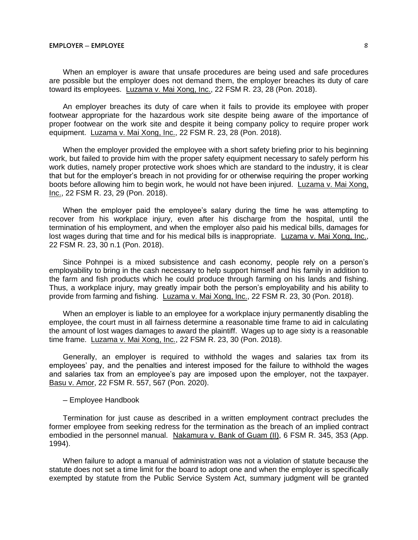When an employer is aware that unsafe procedures are being used and safe procedures are possible but the employer does not demand them, the employer breaches its duty of care toward its employees. Luzama v. Mai Xong, Inc., 22 FSM R. 23, 28 (Pon. 2018).

An employer breaches its duty of care when it fails to provide its employee with proper footwear appropriate for the hazardous work site despite being aware of the importance of proper footwear on the work site and despite it being company policy to require proper work equipment. Luzama v. Mai Xong, Inc., 22 FSM R. 23, 28 (Pon. 2018).

When the employer provided the employee with a short safety briefing prior to his beginning work, but failed to provide him with the proper safety equipment necessary to safely perform his work duties, namely proper protective work shoes which are standard to the industry, it is clear that but for the employer's breach in not providing for or otherwise requiring the proper working boots before allowing him to begin work, he would not have been injured. Luzama v. Mai Xong, Inc., 22 FSM R. 23, 29 (Pon. 2018).

When the employer paid the employee's salary during the time he was attempting to recover from his workplace injury, even after his discharge from the hospital, until the termination of his employment, and when the employer also paid his medical bills, damages for lost wages during that time and for his medical bills is inappropriate. Luzama v. Mai Xong, Inc., 22 FSM R. 23, 30 n.1 (Pon. 2018).

Since Pohnpei is a mixed subsistence and cash economy, people rely on a person's employability to bring in the cash necessary to help support himself and his family in addition to the farm and fish products which he could produce through farming on his lands and fishing. Thus, a workplace injury, may greatly impair both the person's employability and his ability to provide from farming and fishing. Luzama v. Mai Xong, Inc., 22 FSM R. 23, 30 (Pon. 2018).

When an employer is liable to an employee for a workplace injury permanently disabling the employee, the court must in all fairness determine a reasonable time frame to aid in calculating the amount of lost wages damages to award the plaintiff. Wages up to age sixty is a reasonable time frame. Luzama v. Mai Xong, Inc., 22 FSM R. 23, 30 (Pon. 2018).

Generally, an employer is required to withhold the wages and salaries tax from its employees' pay, and the penalties and interest imposed for the failure to withhold the wages and salaries tax from an employee's pay are imposed upon the employer, not the taxpayer. Basu v. Amor, 22 FSM R. 557, 567 (Pon. 2020).

─ Employee Handbook

Termination for just cause as described in a written employment contract precludes the former employee from seeking redress for the termination as the breach of an implied contract embodied in the personnel manual. Nakamura v. Bank of Guam (II), 6 FSM R. 345, 353 (App. 1994).

When failure to adopt a manual of administration was not a violation of statute because the statute does not set a time limit for the board to adopt one and when the employer is specifically exempted by statute from the Public Service System Act, summary judgment will be granted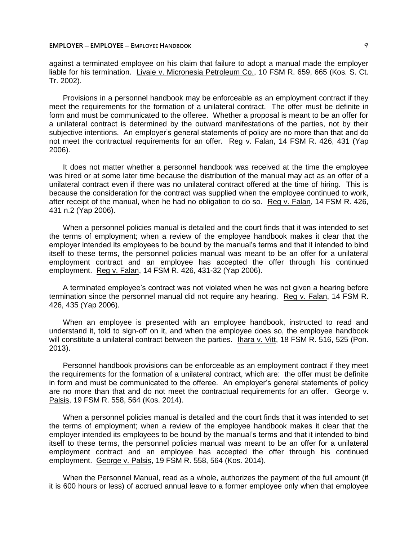### **EMPLOYER ─ EMPLOYEE ─ EMPLOYEE HANDBOOK** 9

against a terminated employee on his claim that failure to adopt a manual made the employer liable for his termination. Livaie v. Micronesia Petroleum Co., 10 FSM R. 659, 665 (Kos. S. Ct. Tr. 2002).

Provisions in a personnel handbook may be enforceable as an employment contract if they meet the requirements for the formation of a unilateral contract. The offer must be definite in form and must be communicated to the offeree. Whether a proposal is meant to be an offer for a unilateral contract is determined by the outward manifestations of the parties, not by their subjective intentions. An employer's general statements of policy are no more than that and do not meet the contractual requirements for an offer. Reg v. Falan, 14 FSM R. 426, 431 (Yap 2006).

It does not matter whether a personnel handbook was received at the time the employee was hired or at some later time because the distribution of the manual may act as an offer of a unilateral contract even if there was no unilateral contract offered at the time of hiring. This is because the consideration for the contract was supplied when the employee continued to work, after receipt of the manual, when he had no obligation to do so. Reg v. Falan, 14 FSM R. 426, 431 n.2 (Yap 2006).

When a personnel policies manual is detailed and the court finds that it was intended to set the terms of employment; when a review of the employee handbook makes it clear that the employer intended its employees to be bound by the manual's terms and that it intended to bind itself to these terms, the personnel policies manual was meant to be an offer for a unilateral employment contract and an employee has accepted the offer through his continued employment. Reg v. Falan, 14 FSM R. 426, 431-32 (Yap 2006).

A terminated employee's contract was not violated when he was not given a hearing before termination since the personnel manual did not require any hearing. Reg v. Falan, 14 FSM R. 426, 435 (Yap 2006).

When an employee is presented with an employee handbook, instructed to read and understand it, told to sign-off on it, and when the employee does so, the employee handbook will constitute a unilateral contract between the parties. Ihara v. Vitt, 18 FSM R. 516, 525 (Pon. 2013).

Personnel handbook provisions can be enforceable as an employment contract if they meet the requirements for the formation of a unilateral contract, which are: the offer must be definite in form and must be communicated to the offeree. An employer's general statements of policy are no more than that and do not meet the contractual requirements for an offer. George v. Palsis, 19 FSM R. 558, 564 (Kos. 2014).

When a personnel policies manual is detailed and the court finds that it was intended to set the terms of employment; when a review of the employee handbook makes it clear that the employer intended its employees to be bound by the manual's terms and that it intended to bind itself to these terms, the personnel policies manual was meant to be an offer for a unilateral employment contract and an employee has accepted the offer through his continued employment. George v. Palsis, 19 FSM R. 558, 564 (Kos. 2014).

When the Personnel Manual, read as a whole, authorizes the payment of the full amount (if it is 600 hours or less) of accrued annual leave to a former employee only when that employee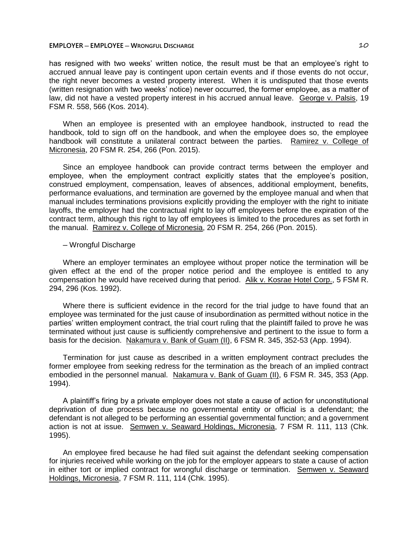has resigned with two weeks' written notice, the result must be that an employee's right to accrued annual leave pay is contingent upon certain events and if those events do not occur, the right never becomes a vested property interest. When it is undisputed that those events (written resignation with two weeks' notice) never occurred, the former employee, as a matter of law, did not have a vested property interest in his accrued annual leave. George v. Palsis, 19 FSM R. 558, 566 (Kos. 2014).

When an employee is presented with an employee handbook, instructed to read the handbook, told to sign off on the handbook, and when the employee does so, the employee handbook will constitute a unilateral contract between the parties. Ramirez v. College of Micronesia, 20 FSM R. 254, 266 (Pon. 2015).

Since an employee handbook can provide contract terms between the employer and employee, when the employment contract explicitly states that the employee's position, construed employment, compensation, leaves of absences, additional employment, benefits, performance evaluations, and termination are governed by the employee manual and when that manual includes terminations provisions explicitly providing the employer with the right to initiate layoffs, the employer had the contractual right to lay off employees before the expiration of the contract term, although this right to lay off employees is limited to the procedures as set forth in the manual. Ramirez v. College of Micronesia, 20 FSM R. 254, 266 (Pon. 2015).

## ─ Wrongful Discharge

Where an employer terminates an employee without proper notice the termination will be given effect at the end of the proper notice period and the employee is entitled to any compensation he would have received during that period. Alik v. Kosrae Hotel Corp., 5 FSM R. 294, 296 (Kos. 1992).

Where there is sufficient evidence in the record for the trial judge to have found that an employee was terminated for the just cause of insubordination as permitted without notice in the parties' written employment contract, the trial court ruling that the plaintiff failed to prove he was terminated without just cause is sufficiently comprehensive and pertinent to the issue to form a basis for the decision. Nakamura v. Bank of Guam (II), 6 FSM R. 345, 352-53 (App. 1994).

Termination for just cause as described in a written employment contract precludes the former employee from seeking redress for the termination as the breach of an implied contract embodied in the personnel manual. Nakamura v. Bank of Guam (II), 6 FSM R. 345, 353 (App. 1994).

A plaintiff's firing by a private employer does not state a cause of action for unconstitutional deprivation of due process because no governmental entity or official is a defendant; the defendant is not alleged to be performing an essential governmental function; and a government action is not at issue. Semwen v. Seaward Holdings, Micronesia, 7 FSM R. 111, 113 (Chk. 1995).

An employee fired because he had filed suit against the defendant seeking compensation for injuries received while working on the job for the employer appears to state a cause of action in either tort or implied contract for wrongful discharge or termination. Semwen v. Seaward Holdings, Micronesia, 7 FSM R. 111, 114 (Chk. 1995).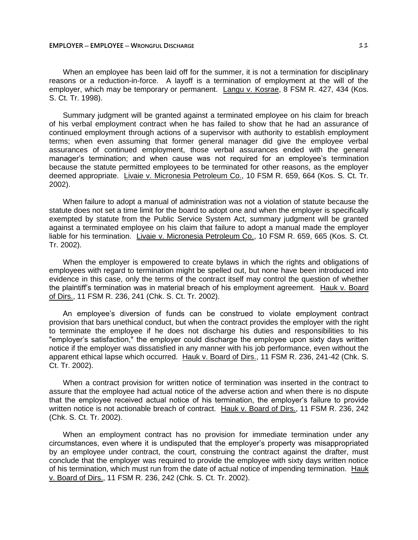When an employee has been laid off for the summer, it is not a termination for disciplinary reasons or a reduction-in-force. A layoff is a termination of employment at the will of the employer, which may be temporary or permanent. Langu v. Kosrae, 8 FSM R. 427, 434 (Kos. S. Ct. Tr. 1998).

Summary judgment will be granted against a terminated employee on his claim for breach of his verbal employment contract when he has failed to show that he had an assurance of continued employment through actions of a supervisor with authority to establish employment terms; when even assuming that former general manager did give the employee verbal assurances of continued employment, those verbal assurances ended with the general manager's termination; and when cause was not required for an employee's termination because the statute permitted employees to be terminated for other reasons, as the employer deemed appropriate. Livaie v. Micronesia Petroleum Co., 10 FSM R. 659, 664 (Kos. S. Ct. Tr. 2002).

When failure to adopt a manual of administration was not a violation of statute because the statute does not set a time limit for the board to adopt one and when the employer is specifically exempted by statute from the Public Service System Act, summary judgment will be granted against a terminated employee on his claim that failure to adopt a manual made the employer liable for his termination. Livaie v. Micronesia Petroleum Co., 10 FSM R. 659, 665 (Kos. S. Ct. Tr. 2002).

When the employer is empowered to create bylaws in which the rights and obligations of employees with regard to termination might be spelled out, but none have been introduced into evidence in this case, only the terms of the contract itself may control the question of whether the plaintiff's termination was in material breach of his employment agreement. Hauk v. Board of Dirs., 11 FSM R. 236, 241 (Chk. S. Ct. Tr. 2002).

An employee's diversion of funds can be construed to violate employment contract provision that bars unethical conduct, but when the contract provides the employer with the right to terminate the employee if he does not discharge his duties and responsibilities to his "employer's satisfaction," the employer could discharge the employee upon sixty days written notice if the employer was dissatisfied in any manner with his job performance, even without the apparent ethical lapse which occurred. Hauk v. Board of Dirs., 11 FSM R. 236, 241-42 (Chk. S. Ct. Tr. 2002).

When a contract provision for written notice of termination was inserted in the contract to assure that the employee had actual notice of the adverse action and when there is no dispute that the employee received actual notice of his termination, the employer's failure to provide written notice is not actionable breach of contract. Hauk v. Board of Dirs., 11 FSM R. 236, 242 (Chk. S. Ct. Tr. 2002).

When an employment contract has no provision for immediate termination under any circumstances, even where it is undisputed that the employer's property was misappropriated by an employee under contract, the court, construing the contract against the drafter, must conclude that the employer was required to provide the employee with sixty days written notice of his termination, which must run from the date of actual notice of impending termination. Hauk v. Board of Dirs., 11 FSM R. 236, 242 (Chk. S. Ct. Tr. 2002).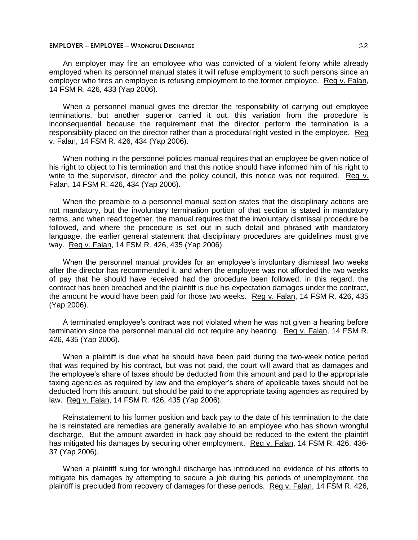An employer may fire an employee who was convicted of a violent felony while already employed when its personnel manual states it will refuse employment to such persons since an employer who fires an employee is refusing employment to the former employee. Reg v. Falan, 14 FSM R. 426, 433 (Yap 2006).

When a personnel manual gives the director the responsibility of carrying out employee terminations, but another superior carried it out, this variation from the procedure is inconsequential because the requirement that the director perform the termination is a responsibility placed on the director rather than a procedural right vested in the employee. Reg v. Falan, 14 FSM R. 426, 434 (Yap 2006).

When nothing in the personnel policies manual requires that an employee be given notice of his right to object to his termination and that this notice should have informed him of his right to write to the supervisor, director and the policy council, this notice was not required. Reg v. Falan, 14 FSM R. 426, 434 (Yap 2006).

When the preamble to a personnel manual section states that the disciplinary actions are not mandatory, but the involuntary termination portion of that section is stated in mandatory terms, and when read together, the manual requires that the involuntary dismissal procedure be followed, and where the procedure is set out in such detail and phrased with mandatory language, the earlier general statement that disciplinary procedures are guidelines must give way. Reg v. Falan, 14 FSM R. 426, 435 (Yap 2006).

When the personnel manual provides for an employee's involuntary dismissal two weeks after the director has recommended it, and when the employee was not afforded the two weeks of pay that he should have received had the procedure been followed, in this regard, the contract has been breached and the plaintiff is due his expectation damages under the contract, the amount he would have been paid for those two weeks. Reg v. Falan, 14 FSM R. 426, 435 (Yap 2006).

A terminated employee's contract was not violated when he was not given a hearing before termination since the personnel manual did not require any hearing. Reg v. Falan, 14 FSM R. 426, 435 (Yap 2006).

When a plaintiff is due what he should have been paid during the two-week notice period that was required by his contract, but was not paid, the court will award that as damages and the employee's share of taxes should be deducted from this amount and paid to the appropriate taxing agencies as required by law and the employer's share of applicable taxes should not be deducted from this amount, but should be paid to the appropriate taxing agencies as required by law. Reg v. Falan, 14 FSM R. 426, 435 (Yap 2006).

Reinstatement to his former position and back pay to the date of his termination to the date he is reinstated are remedies are generally available to an employee who has shown wrongful discharge. But the amount awarded in back pay should be reduced to the extent the plaintiff has mitigated his damages by securing other employment. Reg v. Falan, 14 FSM R. 426, 436- 37 (Yap 2006).

When a plaintiff suing for wrongful discharge has introduced no evidence of his efforts to mitigate his damages by attempting to secure a job during his periods of unemployment, the plaintiff is precluded from recovery of damages for these periods. Reg v. Falan, 14 FSM R. 426,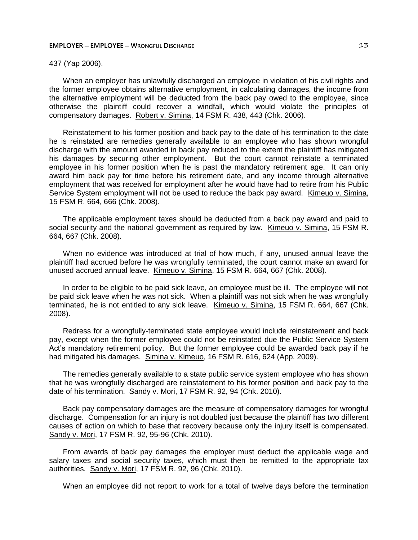## 437 (Yap 2006).

When an employer has unlawfully discharged an employee in violation of his civil rights and the former employee obtains alternative employment, in calculating damages, the income from the alternative employment will be deducted from the back pay owed to the employee, since otherwise the plaintiff could recover a windfall, which would violate the principles of compensatory damages. Robert v. Simina, 14 FSM R. 438, 443 (Chk. 2006).

Reinstatement to his former position and back pay to the date of his termination to the date he is reinstated are remedies generally available to an employee who has shown wrongful discharge with the amount awarded in back pay reduced to the extent the plaintiff has mitigated his damages by securing other employment. But the court cannot reinstate a terminated employee in his former position when he is past the mandatory retirement age. It can only award him back pay for time before his retirement date, and any income through alternative employment that was received for employment after he would have had to retire from his Public Service System employment will not be used to reduce the back pay award. Kimeuo v. Simina, 15 FSM R. 664, 666 (Chk. 2008).

The applicable employment taxes should be deducted from a back pay award and paid to social security and the national government as required by law. Kimeuo v. Simina, 15 FSM R. 664, 667 (Chk. 2008).

When no evidence was introduced at trial of how much, if any, unused annual leave the plaintiff had accrued before he was wrongfully terminated, the court cannot make an award for unused accrued annual leave. Kimeuo v. Simina, 15 FSM R. 664, 667 (Chk. 2008).

In order to be eligible to be paid sick leave, an employee must be ill. The employee will not be paid sick leave when he was not sick. When a plaintiff was not sick when he was wrongfully terminated, he is not entitled to any sick leave. Kimeuo v. Simina, 15 FSM R. 664, 667 (Chk. 2008).

Redress for a wrongfully-terminated state employee would include reinstatement and back pay, except when the former employee could not be reinstated due the Public Service System Act's mandatory retirement policy. But the former employee could be awarded back pay if he had mitigated his damages. Simina v. Kimeuo, 16 FSM R. 616, 624 (App. 2009).

The remedies generally available to a state public service system employee who has shown that he was wrongfully discharged are reinstatement to his former position and back pay to the date of his termination. Sandy v. Mori, 17 FSM R. 92, 94 (Chk. 2010).

Back pay compensatory damages are the measure of compensatory damages for wrongful discharge. Compensation for an injury is not doubled just because the plaintiff has two different causes of action on which to base that recovery because only the injury itself is compensated. Sandy v. Mori, 17 FSM R. 92, 95-96 (Chk. 2010).

From awards of back pay damages the employer must deduct the applicable wage and salary taxes and social security taxes, which must then be remitted to the appropriate tax authorities. Sandy v. Mori, 17 FSM R. 92, 96 (Chk. 2010).

When an employee did not report to work for a total of twelve days before the termination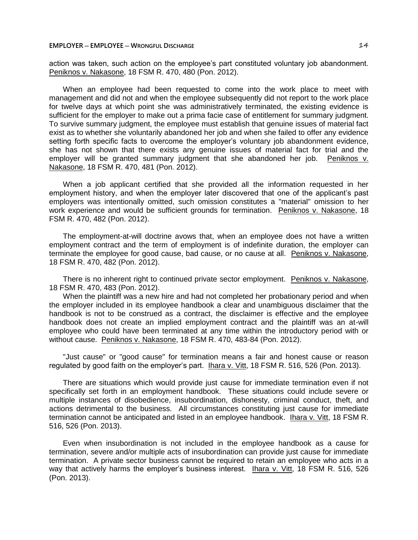action was taken, such action on the employee's part constituted voluntary job abandonment. Peniknos v. Nakasone, 18 FSM R. 470, 480 (Pon. 2012).

When an employee had been requested to come into the work place to meet with management and did not and when the employee subsequently did not report to the work place for twelve days at which point she was administratively terminated, the existing evidence is sufficient for the employer to make out a prima facie case of entitlement for summary judgment. To survive summary judgment, the employee must establish that genuine issues of material fact exist as to whether she voluntarily abandoned her job and when she failed to offer any evidence setting forth specific facts to overcome the employer's voluntary job abandonment evidence, she has not shown that there exists any genuine issues of material fact for trial and the employer will be granted summary judgment that she abandoned her job. Peniknos v. Nakasone, 18 FSM R. 470, 481 (Pon. 2012).

When a job applicant certified that she provided all the information requested in her employment history, and when the employer later discovered that one of the applicant's past employers was intentionally omitted, such omission constitutes a "material" omission to her work experience and would be sufficient grounds for termination. Peniknos v. Nakasone, 18 FSM R. 470, 482 (Pon. 2012).

The employment-at-will doctrine avows that, when an employee does not have a written employment contract and the term of employment is of indefinite duration, the employer can terminate the employee for good cause, bad cause, or no cause at all. Peniknos v. Nakasone, 18 FSM R. 470, 482 (Pon. 2012).

There is no inherent right to continued private sector employment. Peniknos v. Nakasone, 18 FSM R. 470, 483 (Pon. 2012).

When the plaintiff was a new hire and had not completed her probationary period and when the employer included in its employee handbook a clear and unambiguous disclaimer that the handbook is not to be construed as a contract, the disclaimer is effective and the employee handbook does not create an implied employment contract and the plaintiff was an at-will employee who could have been terminated at any time within the introductory period with or without cause. Peniknos v. Nakasone, 18 FSM R. 470, 483-84 (Pon. 2012).

"Just cause" or "good cause" for termination means a fair and honest cause or reason regulated by good faith on the employer's part. Ihara v. Vitt, 18 FSM R. 516, 526 (Pon. 2013).

There are situations which would provide just cause for immediate termination even if not specifically set forth in an employment handbook. These situations could include severe or multiple instances of disobedience, insubordination, dishonesty, criminal conduct, theft, and actions detrimental to the business. All circumstances constituting just cause for immediate termination cannot be anticipated and listed in an employee handbook. Ihara v. Vitt, 18 FSM R. 516, 526 (Pon. 2013).

Even when insubordination is not included in the employee handbook as a cause for termination, severe and/or multiple acts of insubordination can provide just cause for immediate termination. A private sector business cannot be required to retain an employee who acts in a way that actively harms the employer's business interest. Ihara v. Vitt, 18 FSM R. 516, 526 (Pon. 2013).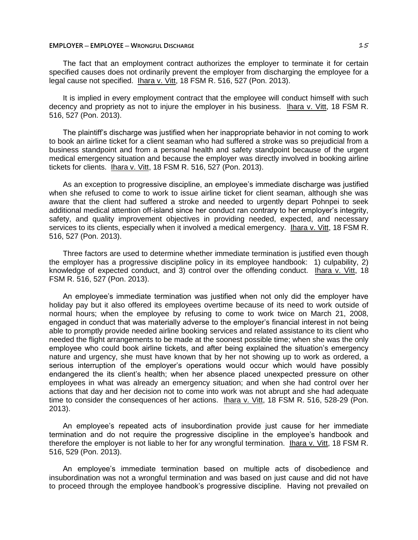The fact that an employment contract authorizes the employer to terminate it for certain specified causes does not ordinarily prevent the employer from discharging the employee for a legal cause not specified. Ihara v. Vitt, 18 FSM R. 516, 527 (Pon. 2013).

It is implied in every employment contract that the employee will conduct himself with such decency and propriety as not to injure the employer in his business. Ihara v. Vitt, 18 FSM R. 516, 527 (Pon. 2013).

The plaintiff's discharge was justified when her inappropriate behavior in not coming to work to book an airline ticket for a client seaman who had suffered a stroke was so prejudicial from a business standpoint and from a personal health and safety standpoint because of the urgent medical emergency situation and because the employer was directly involved in booking airline tickets for clients. Ihara v. Vitt, 18 FSM R. 516, 527 (Pon. 2013).

As an exception to progressive discipline, an employee's immediate discharge was justified when she refused to come to work to issue airline ticket for client seaman, although she was aware that the client had suffered a stroke and needed to urgently depart Pohnpei to seek additional medical attention off-island since her conduct ran contrary to her employer's integrity, safety, and quality improvement objectives in providing needed, expected, and necessary services to its clients, especially when it involved a medical emergency. Ihara v. Vitt, 18 FSM R. 516, 527 (Pon. 2013).

Three factors are used to determine whether immediate termination is justified even though the employer has a progressive discipline policy in its employee handbook: 1) culpability, 2) knowledge of expected conduct, and 3) control over the offending conduct. Ihara v. Vitt, 18 FSM R. 516, 527 (Pon. 2013).

An employee's immediate termination was justified when not only did the employer have holiday pay but it also offered its employees overtime because of its need to work outside of normal hours; when the employee by refusing to come to work twice on March 21, 2008, engaged in conduct that was materially adverse to the employer's financial interest in not being able to promptly provide needed airline booking services and related assistance to its client who needed the flight arrangements to be made at the soonest possible time; when she was the only employee who could book airline tickets, and after being explained the situation's emergency nature and urgency, she must have known that by her not showing up to work as ordered, a serious interruption of the employer's operations would occur which would have possibly endangered the its client's health; when her absence placed unexpected pressure on other employees in what was already an emergency situation; and when she had control over her actions that day and her decision not to come into work was not abrupt and she had adequate time to consider the consequences of her actions. **Ihara v. Vitt, 18 FSM R. 516, 528-29 (Pon.** 2013).

An employee's repeated acts of insubordination provide just cause for her immediate termination and do not require the progressive discipline in the employee's handbook and therefore the employer is not liable to her for any wrongful termination. Ihara v. Vitt, 18 FSM R. 516, 529 (Pon. 2013).

An employee's immediate termination based on multiple acts of disobedience and insubordination was not a wrongful termination and was based on just cause and did not have to proceed through the employee handbook's progressive discipline. Having not prevailed on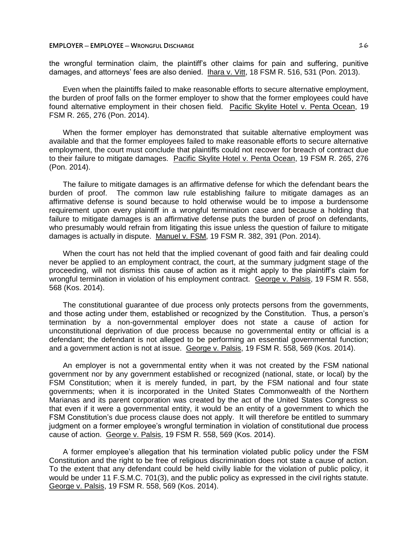the wrongful termination claim, the plaintiff's other claims for pain and suffering, punitive damages, and attorneys' fees are also denied. Ihara v. Vitt, 18 FSM R. 516, 531 (Pon. 2013).

Even when the plaintiffs failed to make reasonable efforts to secure alternative employment, the burden of proof falls on the former employer to show that the former employees could have found alternative employment in their chosen field. Pacific Skylite Hotel v. Penta Ocean, 19 FSM R. 265, 276 (Pon. 2014).

When the former employer has demonstrated that suitable alternative employment was available and that the former employees failed to make reasonable efforts to secure alternative employment, the court must conclude that plaintiffs could not recover for breach of contract due to their failure to mitigate damages. Pacific Skylite Hotel v. Penta Ocean, 19 FSM R. 265, 276 (Pon. 2014).

The failure to mitigate damages is an affirmative defense for which the defendant bears the burden of proof. The common law rule establishing failure to mitigate damages as an affirmative defense is sound because to hold otherwise would be to impose a burdensome requirement upon every plaintiff in a wrongful termination case and because a holding that failure to mitigate damages is an affirmative defense puts the burden of proof on defendants, who presumably would refrain from litigating this issue unless the question of failure to mitigate damages is actually in dispute. Manuel v. FSM, 19 FSM R. 382, 391 (Pon. 2014).

When the court has not held that the implied covenant of good faith and fair dealing could never be applied to an employment contract, the court, at the summary judgment stage of the proceeding, will not dismiss this cause of action as it might apply to the plaintiff's claim for wrongful termination in violation of his employment contract. George v. Palsis, 19 FSM R. 558, 568 (Kos. 2014).

The constitutional guarantee of due process only protects persons from the governments, and those acting under them, established or recognized by the Constitution. Thus, a person's termination by a non-governmental employer does not state a cause of action for unconstitutional deprivation of due process because no governmental entity or official is a defendant; the defendant is not alleged to be performing an essential governmental function; and a government action is not at issue. George v. Palsis, 19 FSM R. 558, 569 (Kos. 2014).

An employer is not a governmental entity when it was not created by the FSM national government nor by any government established or recognized (national, state, or local) by the FSM Constitution; when it is merely funded, in part, by the FSM national and four state governments; when it is incorporated in the United States Commonwealth of the Northern Marianas and its parent corporation was created by the act of the United States Congress so that even if it were a governmental entity, it would be an entity of a government to which the FSM Constitution's due process clause does not apply. It will therefore be entitled to summary judgment on a former employee's wrongful termination in violation of constitutional due process cause of action. George v. Palsis, 19 FSM R. 558, 569 (Kos. 2014).

A former employee's allegation that his termination violated public policy under the FSM Constitution and the right to be free of religious discrimination does not state a cause of action. To the extent that any defendant could be held civilly liable for the violation of public policy, it would be under 11 F.S.M.C. 701(3), and the public policy as expressed in the civil rights statute. George v. Palsis, 19 FSM R. 558, 569 (Kos. 2014).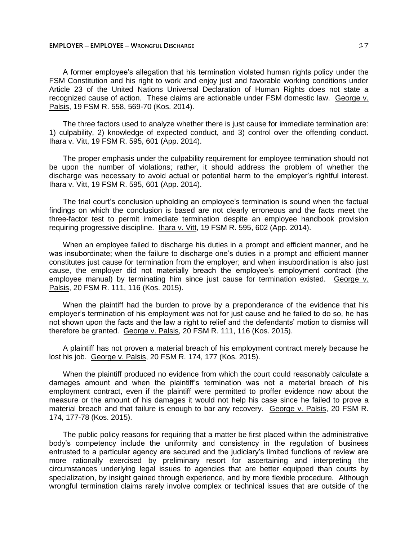A former employee's allegation that his termination violated human rights policy under the FSM Constitution and his right to work and enjoy just and favorable working conditions under Article 23 of the United Nations Universal Declaration of Human Rights does not state a recognized cause of action. These claims are actionable under FSM domestic law. George v. Palsis, 19 FSM R. 558, 569-70 (Kos. 2014).

The three factors used to analyze whether there is just cause for immediate termination are: 1) culpability, 2) knowledge of expected conduct, and 3) control over the offending conduct. Ihara v. Vitt, 19 FSM R. 595, 601 (App. 2014).

The proper emphasis under the culpability requirement for employee termination should not be upon the number of violations; rather, it should address the problem of whether the discharge was necessary to avoid actual or potential harm to the employer's rightful interest. Ihara v. Vitt, 19 FSM R. 595, 601 (App. 2014).

The trial court's conclusion upholding an employee's termination is sound when the factual findings on which the conclusion is based are not clearly erroneous and the facts meet the three-factor test to permit immediate termination despite an employee handbook provision requiring progressive discipline. Ihara v. Vitt, 19 FSM R. 595, 602 (App. 2014).

When an employee failed to discharge his duties in a prompt and efficient manner, and he was insubordinate; when the failure to discharge one's duties in a prompt and efficient manner constitutes just cause for termination from the employer; and when insubordination is also just cause, the employer did not materially breach the employee's employment contract (the employee manual) by terminating him since just cause for termination existed. George v. Palsis, 20 FSM R. 111, 116 (Kos. 2015).

When the plaintiff had the burden to prove by a preponderance of the evidence that his employer's termination of his employment was not for just cause and he failed to do so, he has not shown upon the facts and the law a right to relief and the defendants' motion to dismiss will therefore be granted. George v. Palsis, 20 FSM R. 111, 116 (Kos. 2015).

A plaintiff has not proven a material breach of his employment contract merely because he lost his job. George v. Palsis, 20 FSM R. 174, 177 (Kos. 2015).

When the plaintiff produced no evidence from which the court could reasonably calculate a damages amount and when the plaintiff's termination was not a material breach of his employment contract, even if the plaintiff were permitted to proffer evidence now about the measure or the amount of his damages it would not help his case since he failed to prove a material breach and that failure is enough to bar any recovery. George v. Palsis, 20 FSM R. 174, 177-78 (Kos. 2015).

The public policy reasons for requiring that a matter be first placed within the administrative body's competency include the uniformity and consistency in the regulation of business entrusted to a particular agency are secured and the judiciary's limited functions of review are more rationally exercised by preliminary resort for ascertaining and interpreting the circumstances underlying legal issues to agencies that are better equipped than courts by specialization, by insight gained through experience, and by more flexible procedure. Although wrongful termination claims rarely involve complex or technical issues that are outside of the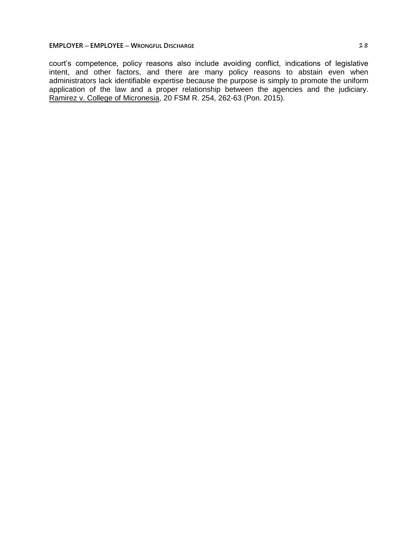court's competence, policy reasons also include avoiding conflict, indications of legislative intent, and other factors, and there are many policy reasons to abstain even when administrators lack identifiable expertise because the purpose is simply to promote the uniform application of the law and a proper relationship between the agencies and the judiciary. Ramirez v. College of Micronesia, 20 FSM R. 254, 262-63 (Pon. 2015).